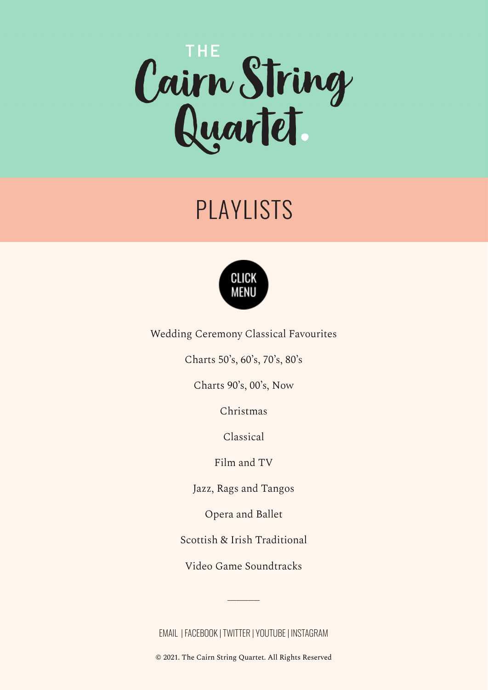

# PLAYLISTS



<span id="page-0-0"></span>Wedding Ceremony Classical [Favourites](#page-1-0)

[Charts](#page-2-0) 50's, 60's, 70's, 80's

[Charts](#page-9-0) 90's, 00's, Now

[Christmas](#page-21-0)

[Classical](#page-23-0)

[Film](#page-25-0) and TV

Jazz, Rags and [Tangos](#page-30-0)

[Opera](#page-32-0) and Ballet

Scottish & Irish [Traditional](#page-33-0)

Video Game [Soundtracks](#page-34-0)

 $\overline{\phantom{a}}$ 

[EMAIL](mailto:cairnstringquartet@gmail.com) |[FACEBOOK](https://www.facebook.com/cairnquartet/) | [TWITTER](https://mobile.twitter.com/CairnQuartet) | [YOUTUBE](https://www.youtube.com/user/cairnstringquartet)| [INSTAGRAM](https://www.instagram.com/cairnstringquartet/)

© 2021. The Cairn String Quartet. All Rights Reserved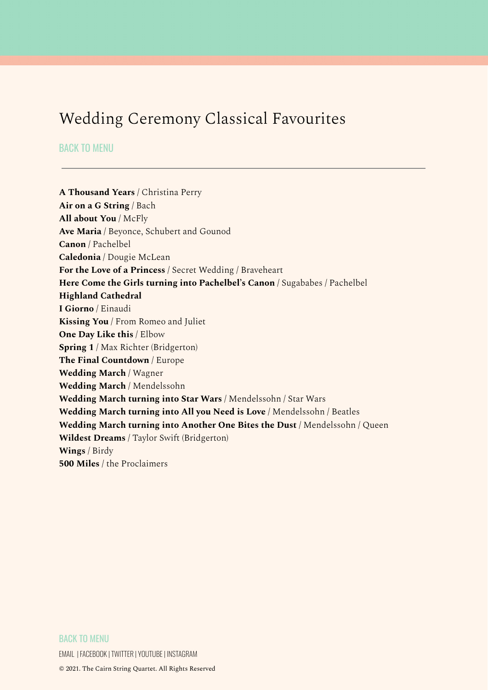# <span id="page-1-0"></span>Wedding Ceremony Classical Favourites

BACK TO [MENU](#page-0-0)

**A Thousand Years** / Christina Perry **Air on a G String** / Bach **All about You** / McFly **Ave Maria** / Beyonce, Schubert and Gounod **Canon** / Pachelbel **Caledonia** / Dougie McLean **For the Love of a Princess** / Secret Wedding / Braveheart **Here Come the Girls turning into Pachelbel's Canon** / Sugababes / Pachelbel **Highland Cathedral I Giorno** / Einaudi **Kissing You** / From Romeo and Juliet **One Day Like this** / Elbow **Spring 1** / Max Richter (Bridgerton) **The Final Countdown** / Europe **Wedding March** / Wagner **Wedding March** / Mendelssohn **Wedding March turning into Star Wars** / Mendelssohn / Star Wars **Wedding March turning into All you Need is Love** / Mendelssohn / Beatles **Wedding March turning into Another One Bites the Dust** / Mendelssohn / Queen **Wildest Dreams** / Taylor Swift (Bridgerton) **Wings** / Birdy **500 Miles** / the Proclaimers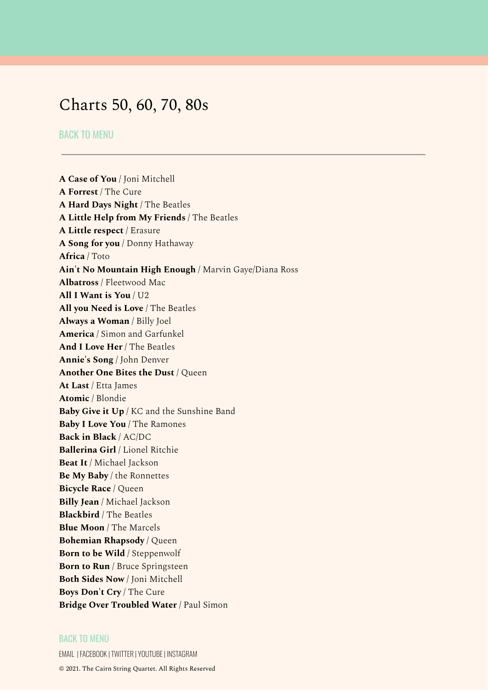# <span id="page-2-0"></span>Charts 50, 60, 70, 80s

BACK TO [MENU](#page-0-0)

**A Case of You** / Joni Mitchell **A Forrest** / The Cure **A Hard Days Night** / The Beatles **A Little Help from My Friends** / The Beatles **A Little respect** / Erasure **A Song for you** / Donny Hathaway **Africa** / Toto **Ain't No Mountain High Enough** / Marvin Gaye/Diana Ross **Albatross** / Fleetwood Mac **All I Want is You** / U2 **All you Need is Love** / The Beatles **Always a Woman** / Billy Joel **America** / Simon and Garfunkel **And I Love Her** / The Beatles **Annie's Song** / John Denver **Another One Bites the Dust** / Queen **At Last** / Etta James **Atomic** / Blondie **Baby Give it Up** / KC and the Sunshine Band **Baby I Love You** / The Ramones **Back in Black** / AC/DC **Ballerina Girl** / Lionel Ritchie **Beat It** / Michael Jackson **Be My Baby** / the Ronnettes **Bicycle Race** / Queen **Billy Jean** / Michael Jackson **Blackbird** / The Beatles **Blue Moon** / The Marcels **Bohemian Rhapsody** / Queen **Born to be Wild** / Steppenwolf **Born to Run** / Bruce Springsteen **Both Sides Now** / Joni Mitchell **Boys Don't Cry** / The Cure **Bridge Over Troubled Water** / Paul Simon

### BACK TO [MENU](#page-0-0)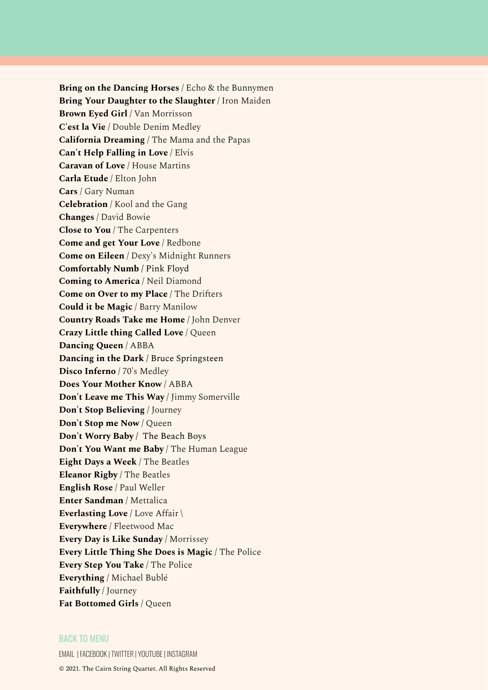**Bring on the Dancing Horses** / Echo & the Bunnymen **Bring Your Daughter to the Slaughter** / Iron Maiden **Brown Eyed Girl** / Van Morrisson **C'est la Vie** / Double Denim Medley **California Dreaming** / The Mama and the Papas **Can't Help Falling in Love** / Elvis **Caravan of Love** / House Martins **Carla Etude** / Elton John **Cars** / Gary Numan **Celebration** / Kool and the Gang **Changes** / David Bowie **Close to You** / The Carpenters **Come and get Your Love** / Redbone **Come on Eileen** / Dexy's Midnight Runners **Comfortably Numb** / Pink Floyd **Coming to America** / Neil Diamond **Come on Over to my Place** / The Drifters **Could it be Magic** / Barry Manilow **Country Roads Take me Home** / John Denver **Crazy Little thing Called Love** / Queen **Dancing Queen** / ABBA **Dancing in the Dark** / Bruce Springsteen **Disco Inferno** / 70's Medley **Does Your Mother Know** / ABBA **Don't Leave me This Way** / Jimmy Somerville **Don't Stop Believing** / Journey **Don't Stop me Now** / Queen **Don't Worry Baby /** The Beach Boys **Don't You Want me Baby** / The Human League **Eight Days a Week** / The Beatles **Eleanor Rigby** / The Beatles **English Rose** / Paul Weller **Enter Sandman** / Mettalica **Everlasting Love** / Love Affair \ **Everywhere** / Fleetwood Mac **Every Day is Like Sunday** / Morrissey **Every Little Thing She Does is Magic** / The Police **Every Step You Take** / The Police **Everything** / Michael Bublé **Faithfully** / Journey **Fat Bottomed Girls** / Queen

# BACK TO [MENU](#page-0-0)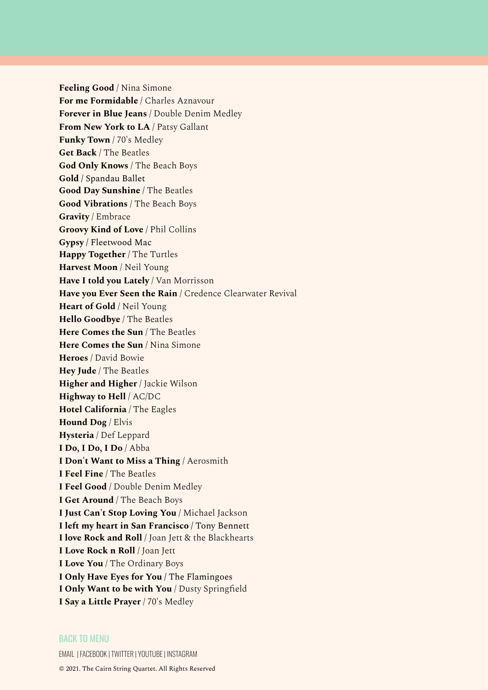**Feeling Good** / Nina Simone **For me Formidable** / Charles Aznavour **Forever in Blue Jeans** / Double Denim Medley **From New York to LA** / Patsy Gallant **Funky Town** / 70's Medley **Get Back** / The Beatles **God Only Knows** / The Beach Boys **Gold** / Spandau Ballet **Good Day Sunshine** / The Beatles **Good Vibrations** / The Beach Boys **Gravity** / Embrace **Groovy Kind of Love** / Phil Collins **Gypsy** / Fleetwood Mac **Happy Together** / The Turtles **Harvest Moon** / Neil Young **Have I told you Lately** / Van Morrisson **Have you Ever Seen the Rain** / Credence Clearwater Revival **Heart of Gold** / Neil Young **Hello Goodbye** / The Beatles **Here Comes the Sun** / The Beatles **Here Comes the Sun** / Nina Simone **Heroes** / David Bowie **Hey Jude** / The Beatles **Higher and Higher** / Jackie Wilson **Highway to Hell** / AC/DC **Hotel California** / The Eagles **Hound Dog** / Elvis **Hysteria** / Def Leppard **I Do, I Do, I Do** / Abba **I Don't Want to Miss a Thing** / Aerosmith **I Feel Fine** / The Beatles **I Feel Good** / Double Denim Medley **I Get Around** / The Beach Boys **I Just Can't Stop Loving You** / Michael Jackson **I left my heart in San Francisco** / Tony Bennett **I love Rock and Roll** / Joan Jett & the Blackhearts **I Love Rock n Roll** / Joan Jett **I Love You** / The Ordinary Boys **I Only Have Eyes for You** / The Flamingoes **I Only Want to be with You** / Dusty Springfield **I Say a Little Prayer** / 70's Medley

### BACK TO [MENU](#page-0-0)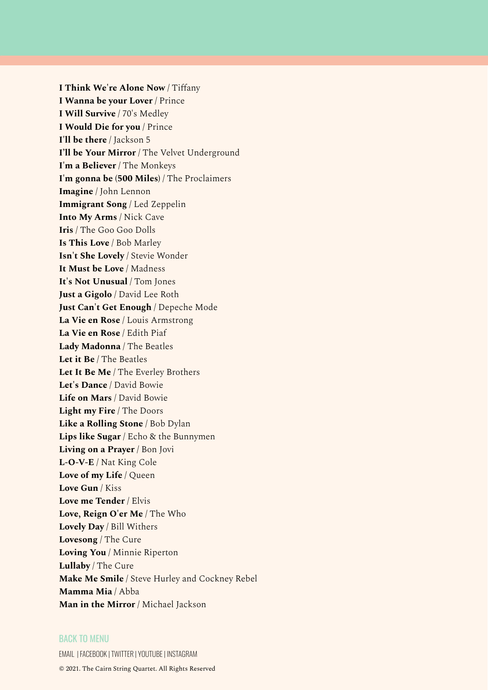**I Think We're Alone Now** / Tiffany **I Wanna be your Lover** / Prince **I Will Survive** / 70's Medley **I Would Die for you** / Prince **I'll be there** / Jackson 5 **I'll be Your Mirror** / The Velvet Underground **I'm a Believer** / The Monkeys **I'm gonna be (500 Miles)** / The Proclaimers **Imagine** / John Lennon **Immigrant Song** / Led Zeppelin **Into My Arms** / Nick Cave **Iris** / The Goo Goo Dolls **Is This Love** / Bob Marley **Isn't She Lovely** / Stevie Wonder **It Must be Love** / Madness **It's Not Unusual** / Tom Jones **Just a Gigolo** / David Lee Roth **Just Can't Get Enough** / Depeche Mode **La Vie en Rose** / Louis Armstrong **La Vie en Rose** / Edith Piaf **Lady Madonna** / The Beatles **Let it Be** / The Beatles **Let It Be Me** / The Everley Brothers **Let's Dance** / David Bowie **Life on Mars** / David Bowie **Light my Fire** / The Doors **Like a Rolling Stone** / Bob Dylan **Lips like Sugar** / Echo & the Bunnymen **Living on a Prayer** / Bon Jovi **L-O-V-E** / Nat King Cole **Love of my Life** / Queen **Love Gun** / Kiss **Love me Tender** / Elvis **Love, Reign O'er Me** / The Who **Lovely Day** / Bill Withers **Lovesong** / The Cure **Loving You** / Minnie Riperton **Lullaby** / The Cure **Make Me Smile** / Steve Hurley and Cockney Rebel **Mamma Mia** / Abba **Man in the Mirror** / Michael Jackson

### BACK TO [MENU](#page-0-0)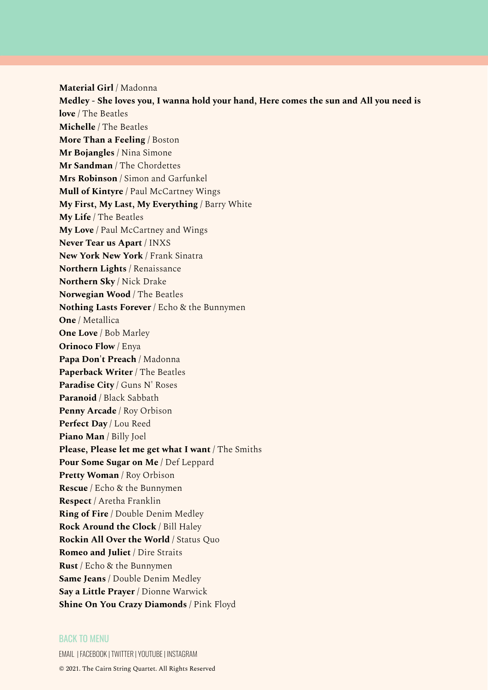**Material Girl** / Madonna **Medley - She loves you, I wanna hold your hand, Here comes the sun and All you need is love** / The Beatles **Michelle** / The Beatles **More Than a Feeling** / Boston **Mr Bojangles** / Nina Simone **Mr Sandman** / The Chordettes **Mrs Robinson** / Simon and Garfunkel **Mull of Kintyre** / Paul McCartney Wings **My First, My Last, My Everything** / Barry White **My Life** / The Beatles **My Love** / Paul McCartney and Wings **Never Tear us Apart** / INXS **New York New York** / Frank Sinatra **Northern Lights** / Renaissance **Northern Sky** / Nick Drake **Norwegian Wood** / The Beatles **Nothing Lasts Forever** / Echo & the Bunnymen **One** / Metallica **One Love** / Bob Marley **Orinoco Flow** / Enya **Papa Don't Preach** / Madonna **Paperback Writer** / The Beatles **Paradise City** / Guns N' Roses **Paranoid** / Black Sabbath **Penny Arcade** / Roy Orbison **Perfect Day** / Lou Reed **Piano Man** / Billy Joel **Please, Please let me get what I want** / The Smiths **Pour Some Sugar on Me** / Def Leppard **Pretty Woman** / Roy Orbison **Rescue** / Echo & the Bunnymen **Respect** / Aretha Franklin **Ring of Fire** / Double Denim Medley **Rock Around the Clock** / Bill Haley **Rockin All Over the World** / Status Quo **Romeo and Juliet** / Dire Straits **Rust** / Echo & the Bunnymen **Same Jeans** / Double Denim Medley **Say a Little Prayer** / Dionne Warwick **Shine On You Crazy Diamonds** / Pink Floyd

### BACK TO [MENU](#page-0-0)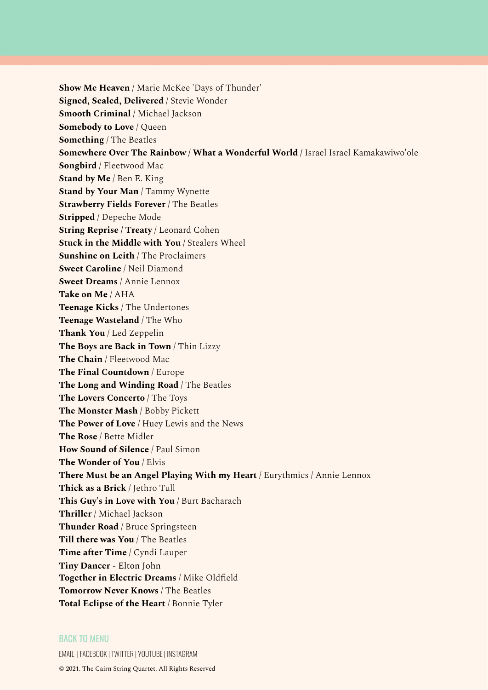**Show Me Heaven** / Marie McKee 'Days of Thunder' **Signed, Sealed, Delivered** / Stevie Wonder **Smooth Criminal** / Michael Jackson **Somebody to Love** / Queen **Something** / The Beatles **Somewhere Over The Rainbow / What a Wonderful World** / Israel Israel Kamakawiwo'ole **Songbird** / Fleetwood Mac **Stand by Me** / Ben E. King **Stand by Your Man** / Tammy Wynette **Strawberry Fields Forever** / The Beatles **Stripped** / Depeche Mode **String Reprise / Treaty** / Leonard Cohen **Stuck in the Middle with You** / Stealers Wheel **Sunshine on Leith** / The Proclaimers **Sweet Caroline** / Neil Diamond **Sweet Dreams** / Annie Lennox **Take on Me** / AHA **Teenage Kicks** / The Undertones **Teenage Wasteland** / The Who **Thank You** / Led Zeppelin **The Boys are Back in Town** / Thin Lizzy **The Chain** / Fleetwood Mac **The Final Countdown** / Europe **The Long and Winding Road** / The Beatles **The Lovers Concerto** / The Toys **The Monster Mash** / Bobby Pickett **The Power of Love** / Huey Lewis and the News **The Rose** / Bette Midler **How Sound of Silence** / Paul Simon **The Wonder of You** / Elvis **There Must be an Angel Playing With my Heart** / Eurythmics / Annie Lennox **Thick as a Brick** / Jethro Tull **This Guy's in Love with You** / Burt Bacharach **Thriller** / Michael Jackson **Thunder Road** / Bruce Springsteen **Till there was You** / The Beatles **Time after Time** / Cyndi Lauper **Tiny Dancer** - Elton John **Together in Electric Dreams** / Mike Oldfield **Tomorrow Never Knows** / The Beatles **Total Eclipse of the Heart** / Bonnie Tyler

### BACK TO [MENU](#page-0-0)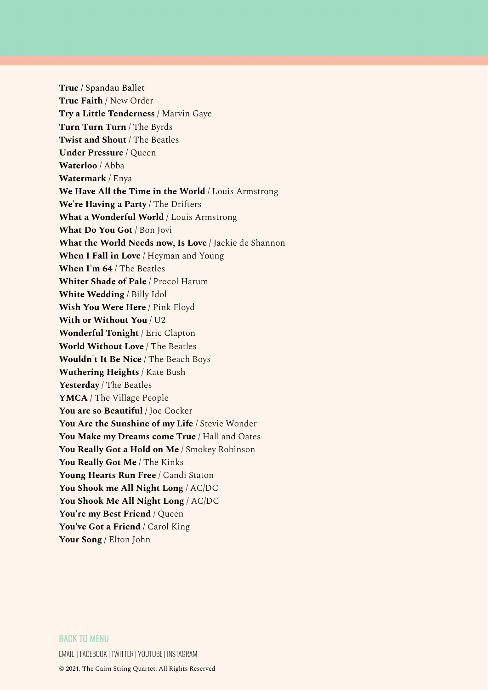**True** / Spandau Ballet **True Faith** / New Order **Try a Little Tenderness** / Marvin Gaye **Turn Turn Turn** / The Byrds **Twist and Shout** / The Beatles **Under Pressure** / Queen **Waterloo** / Abba **Watermark** / Enya **We Have All the Time in the World** / Louis Armstrong **We're Having a Party** / The Drifters **What a Wonderful World** / Louis Armstrong **What Do You Got** / Bon Jovi **What the World Needs now, Is Love** / Jackie de Shannon **When I Fall in Love** / Heyman and Young **When I'm 64** / The Beatles **Whiter Shade of Pale** / Procol Harum **White Wedding** / Billy Idol **Wish You Were Here** / Pink Floyd **With or Without You** / U2 **Wonderful Tonight** / Eric Clapton **World Without Love** / The Beatles **Wouldn't It Be Nice** / The Beach Boys **Wuthering Heights** / Kate Bush **Yesterday** / The Beatles **YMCA** / The Village People **You are so Beautiful** / Joe Cocker **You Are the Sunshine of my Life** / Stevie Wonder **You Make my Dreams come True** / Hall and Oates **You Really Got a Hold on Me** / Smokey Robinson **You Really Got Me** / The Kinks **Young Hearts Run Free** / Candi Staton **You Shook me All Night Long** / AC/DC **You Shook Me All Night Long** / AC/DC **You're my Best Friend** / Queen **You've Got a Friend** / Carol King **Your Song** / Elton John

### BACK TO [MENU](#page-0-0)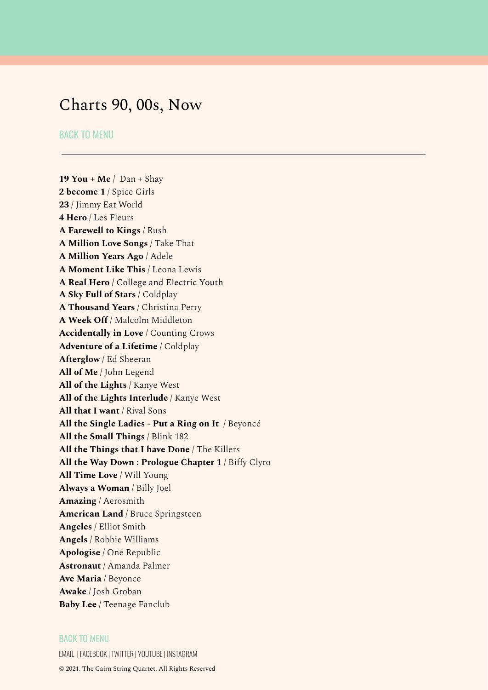# <span id="page-9-0"></span>Charts 90, 00s, Now

# BACK TO [MENU](#page-0-0)

**19 You + Me** / Dan + Shay **2 become 1** / Spice Girls **23** / Jimmy Eat World **4 Hero** / Les Fleurs **A Farewell to Kings** / Rush **A Million Love Songs** / Take That **A Million Years Ago** / Adele **A Moment Like This** / Leona Lewis **A Real Hero** / College and Electric Youth **A Sky Full of Stars** / Coldplay **A Thousand Years** / Christina Perry **A Week Off** / Malcolm Middleton **Accidentally in Love** / Counting Crows **Adventure of a Lifetime** / Coldplay **Afterglow** / Ed Sheeran **All of Me** / John Legend **All of the Lights** / Kanye West **All of the Lights Interlude** / Kanye West **All that I want** / Rival Sons **All the Single Ladies - Put a Ring on It** / Beyoncé **All the Small Things** / Blink 182 **All the Things that I have Done** / The Killers **All the Way Down : Prologue Chapter 1** / Biffy Clyro **All Time Love** / Will Young **Always a Woman** / Billy Joel **Amazing** / Aerosmith **American Land** / Bruce Springsteen **Angeles** / Elliot Smith **Angels** / Robbie Williams **Apologise** / One Republic **Astronaut** / Amanda Palmer **Ave Maria** / Beyonce **Awake** / Josh Groban **Baby Lee** / Teenage Fanclub

# BACK TO [MENU](#page-0-0)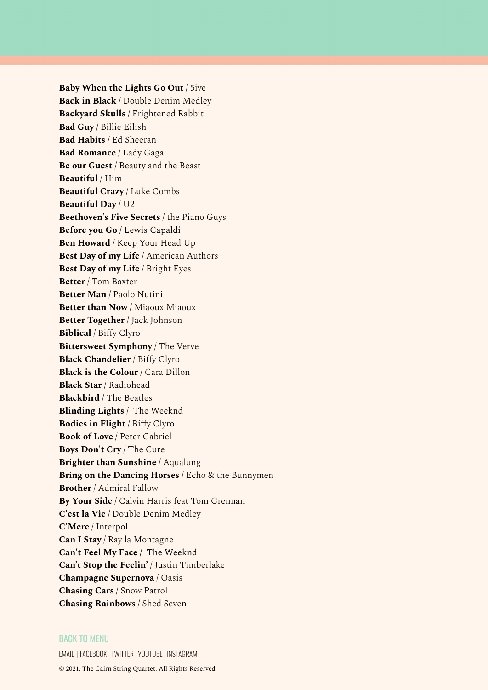**Baby When the Lights Go Out** / 5ive **Back in Black** / Double Denim Medley **Backyard Skulls** / Frightened Rabbit **Bad Guy** / Billie Eilish **Bad Habits** / Ed Sheeran **Bad Romance** / Lady Gaga **Be our Guest** / Beauty and the Beast **Beautiful** / Him **Beautiful Crazy** / Luke Combs **Beautiful Day** / U2 **Beethoven's Five Secrets** / the Piano Guys **Before you Go** / Lewis Capaldi **Ben Howard** / Keep Your Head Up **Best Day of my Life** / American Authors **Best Day of my Life** / Bright Eyes **Better** / Tom Baxter **Better Man** / Paolo Nutini **Better than Now** / Miaoux Miaoux **Better Together** / Jack Johnson **Biblical** / Biffy Clyro **Bittersweet Symphony** / The Verve **Black Chandelier** / Biffy Clyro **Black is the Colour** / Cara Dillon **Black Star** / Radiohead **Blackbird** / The Beatles **Blinding Lights** / The Weeknd **Bodies in Flight** / Biffy Clyro **Book of Love** / Peter Gabriel **Boys Don't Cry** / The Cure **Brighter than Sunshine** / Aqualung **Bring on the Dancing Horses** / Echo & the Bunnymen **Brother** / Admiral Fallow **By Your Side** / Calvin Harris feat Tom Grennan **C'est la Vie** / Double Denim Medley **C'Mere** / Interpol **Can I Stay** / Ray la Montagne **Can't Feel My Face** / The Weeknd **Can't Stop the Feelin'** / Justin Timberlake **Champagne Supernova** / Oasis **Chasing Cars** / Snow Patrol **Chasing Rainbows** / Shed Seven

### BACK TO [MENU](#page-0-0)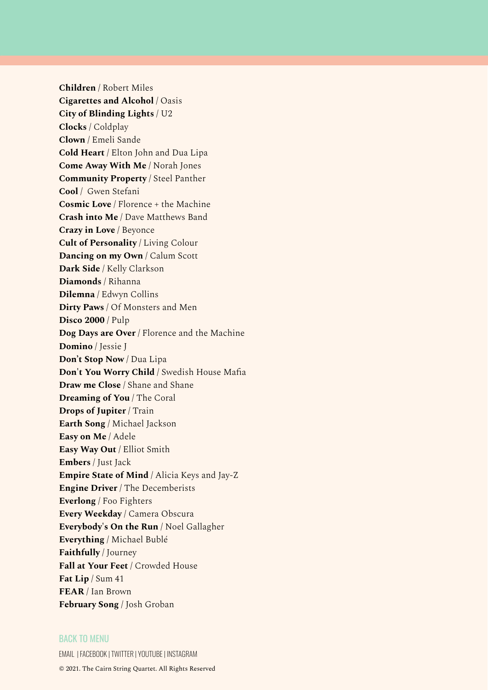**Children** / Robert Miles **Cigarettes and Alcohol** / Oasis **City of Blinding Lights** / U2 **Clocks** / Coldplay **Clown** / Emeli Sande **Cold Heart** / Elton John and Dua Lipa **Come Away With Me** / Norah Jones **Community Property** / Steel Panther **Cool** / Gwen Stefani **Cosmic Love** / Florence + the Machine **Crash into Me** / Dave Matthews Band **Crazy in Love** / Beyonce **Cult of Personality** / Living Colour **Dancing on my Own** / Calum Scott **Dark Side** / Kelly Clarkson **Diamonds** / Rihanna **Dilemna** / Edwyn Collins **Dirty Paws** / Of Monsters and Men **Disco 2000** / Pulp **Dog Days are Over** / Florence and the Machine **Domino** / Jessie J **Don't Stop Now** / Dua Lipa **Don't You Worry Child** / Swedish House Mafia **Draw me Close** / Shane and Shane **Dreaming of You** / The Coral **Drops of Jupiter** / Train **Earth Song** / Michael Jackson **Easy on Me** / Adele **Easy Way Out** / Elliot Smith **Embers** / Just Jack **Empire State of Mind** / Alicia Keys and Jay-Z **Engine Driver** / The Decemberists **Everlong** / Foo Fighters **Every Weekday** / Camera Obscura **Everybody's On the Run** / Noel Gallagher **Everything** / Michael Bublé **Faithfully** / Journey **Fall at Your Feet** / Crowded House **Fat Lip** / Sum 41 **FEAR** / Ian Brown **February Song** / Josh Groban

# BACK TO [MENU](#page-0-0)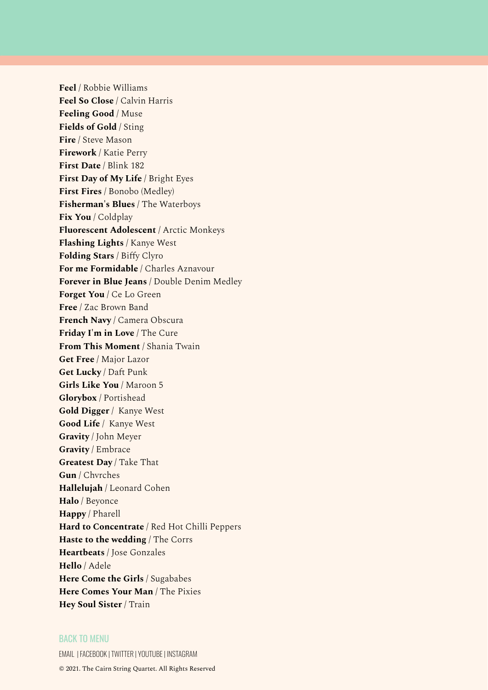**Feel** / Robbie Williams **Feel So Close** / Calvin Harris **Feeling Good** / Muse **Fields of Gold** / Sting **Fire** / Steve Mason **Firework** / Katie Perry **First Date** / Blink 182 **First Day of My Life** / Bright Eyes **First Fires** / Bonobo (Medley) **Fisherman's Blues** / The Waterboys **Fix You** / Coldplay **Fluorescent Adolescent** / Arctic Monkeys **Flashing Lights** / Kanye West **Folding Stars** / Biffy Clyro **For me Formidable** / Charles Aznavour **Forever in Blue Jeans** / Double Denim Medley **Forget You** / Ce Lo Green **Free** / Zac Brown Band **French Navy** / Camera Obscura **Friday I'm in Love** / The Cure **From This Moment** / Shania Twain **Get Free** / Major Lazor **Get Lucky** / Daft Punk **Girls Like You** / Maroon 5 **Glorybox** / Portishead **Gold Digger** / Kanye West **Good Life** / Kanye West **Gravity** / John Meyer **Gravity** / Embrace **Greatest Day** / Take That **Gun** / Chvrches **Hallelujah** / Leonard Cohen **Halo** / Beyonce **Happy** / Pharell **Hard to Concentrate** / Red Hot Chilli Peppers **Haste to the wedding** / The Corrs **Heartbeats** / Jose Gonzales **Hello** / Adele **Here Come the Girls** / Sugababes **Here Comes Your Man** / The Pixies **Hey Soul Sister** / Train

### BACK TO [MENU](#page-0-0)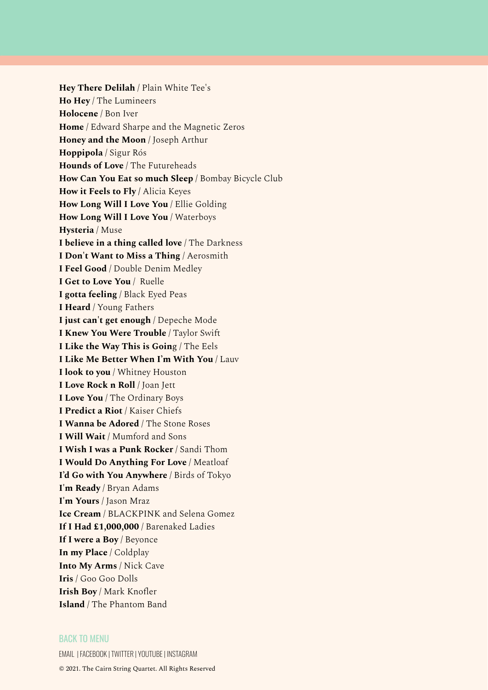**Hey There Delilah** / Plain White Tee's **Ho Hey** / The Lumineers **Holocene** / Bon Iver **Home** / Edward Sharpe and the Magnetic Zeros **Honey and the Moon** / Joseph Arthur **Hoppipola** / Sigur Rós **Hounds of Love** / The Futureheads **How Can You Eat so much Sleep** / Bombay Bicycle Club **How it Feels to Fly /** Alicia Keyes **How Long Will I Love You** / Ellie Golding **How Long Will I Love You** / Waterboys **Hysteria** / Muse **I believe in a thing called love** / The Darkness **I Don't Want to Miss a Thing** / Aerosmith **I Feel Good** / Double Denim Medley **I Get to Love You** / Ruelle **I gotta feeling** / Black Eyed Peas **I Heard** / Young Fathers **I just can't get enough** / Depeche Mode **I Knew You Were Trouble** / Taylor Swift **I Like the Way This is Goin**g / The Eels **I Like Me Better When I'm With You** / Lauv **I look to you** / Whitney Houston **I Love Rock n Roll** / Joan Jett **I Love You** / The Ordinary Boys **I Predict a Riot** / Kaiser Chiefs **I Wanna be Adored** / The Stone Roses **I Will Wait** / Mumford and Sons **I Wish I was a Punk Rocker** / Sandi Thom **I Would Do Anything For Love** / Meatloaf **I'd Go with You Anywhere** / Birds of Tokyo **I'm Ready** / Bryan Adams **I'm Yours** / Jason Mraz **Ice Cream** / BLACKPINK and Selena Gomez **If I Had £1,000,000** / Barenaked Ladies **If I were a Boy** / Beyonce **In my Place** / Coldplay **Into My Arms** / Nick Cave **Iris** / Goo Goo Dolls **Irish Boy** / Mark Knofler **Island** / The Phantom Band

### BACK TO [MENU](#page-0-0)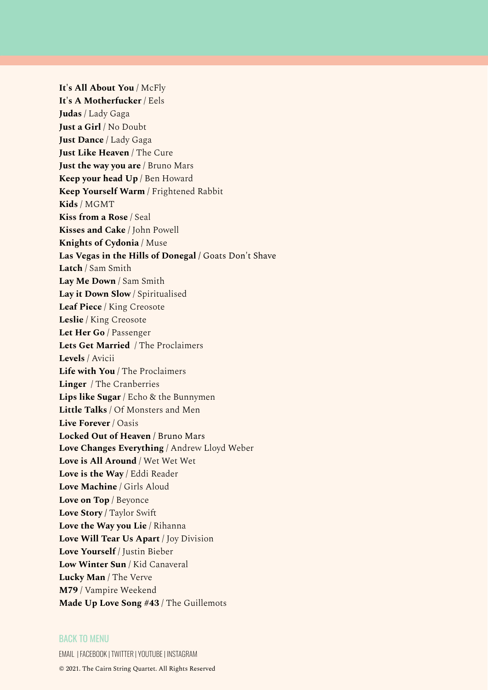**It's All About You** / McFly **It's A Motherfucker** / Eels **Judas** / Lady Gaga **Just a Girl** / No Doubt **Just Dance** / Lady Gaga **Just Like Heaven** / The Cure **Just the way you are** / Bruno Mars **Keep your head Up** / Ben Howard **Keep Yourself Warm** / Frightened Rabbit **Kids** / MGMT **Kiss from a Rose** / Seal **Kisses and Cake** / John Powell **Knights of Cydonia** / Muse **Las Vegas in the Hills of Donegal** / Goats Don't Shave **Latch** / Sam Smith **Lay Me Down** / Sam Smith **Lay it Down Slow** / Spiritualised **Leaf Piece** / King Creosote **Leslie** / King Creosote **Let Her Go** / Passenger **Lets Get Married** / The Proclaimers **Levels** / Avicii **Life with You** / The Proclaimers **Linger** / The Cranberries **Lips like Sugar** / Echo & the Bunnymen **Little Talks** / Of Monsters and Men **Live Forever** / Oasis **Locked Out of Heaven** / Bruno Mars **Love Changes Everything** / Andrew Lloyd Weber **Love is All Around** / Wet Wet Wet **Love is the Way** / Eddi Reader **Love Machine** / Girls Aloud **Love on Top** / Beyonce **Love Story /** Taylor Swift **Love the Way you Lie** / Rihanna **Love Will Tear Us Apart** / Joy Division **Love Yourself** / Justin Bieber **Low Winter Sun** / Kid Canaveral **Lucky Man** / The Verve **M79** / Vampire Weekend **Made Up Love Song #43** / The Guillemots

### BACK TO [MENU](#page-0-0)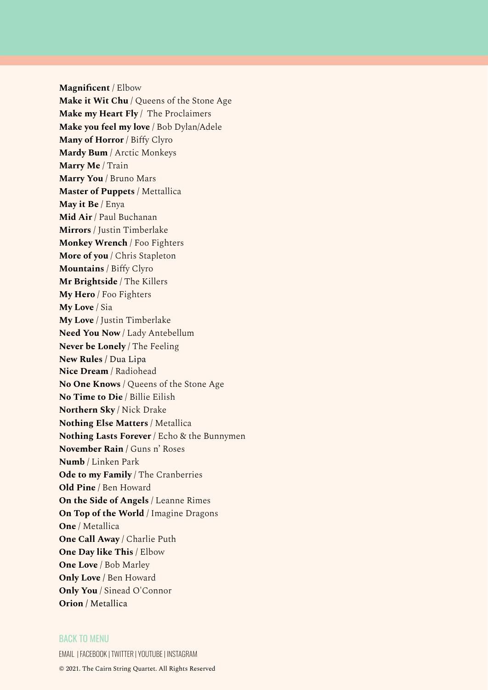**Magnificent** / Elbow **Make it Wit Chu** / Queens of the Stone Age **Make my Heart Fly** / The Proclaimers **Make you feel my love** / Bob Dylan/Adele **Many of Horror** / Biffy Clyro **Mardy Bum** / Arctic Monkeys **Marry Me** / Train **Marry You** / Bruno Mars **Master of Puppets** / Mettallica **May it Be** / Enya **Mid Air** / Paul Buchanan **Mirrors** / Justin Timberlake **Monkey Wrench** / Foo Fighters **More of you** / Chris Stapleton **Mountains** / Biffy Clyro **Mr Brightside** / The Killers **My Hero** / Foo Fighters **My Love** / Sia **My Love** / Justin Timberlake **Need You Now** / Lady Antebellum **Never be Lonely** / The Feeling **New Rules** / Dua Lipa **Nice Dream** / Radiohead **No One Knows** / Queens of the Stone Age **No Time to Die** / Billie Eilish **Northern Sky** / Nick Drake **Nothing Else Matters** / Metallica **Nothing Lasts Forever** / Echo & the Bunnymen **November Rain /** Guns n' Roses **Numb** / Linken Park **Ode to my Family** / The Cranberries **Old Pine** / Ben Howard **On the Side of Angels** / Leanne Rimes **On Top of the World** / Imagine Dragons **One** / Metallica **One Call Away** / Charlie Puth **One Day like This** / Elbow **One Love** / Bob Marley **Only Love /** Ben Howard **Only You** / Sinead O'Connor **Orion** / Metallica

### BACK TO [MENU](#page-0-0)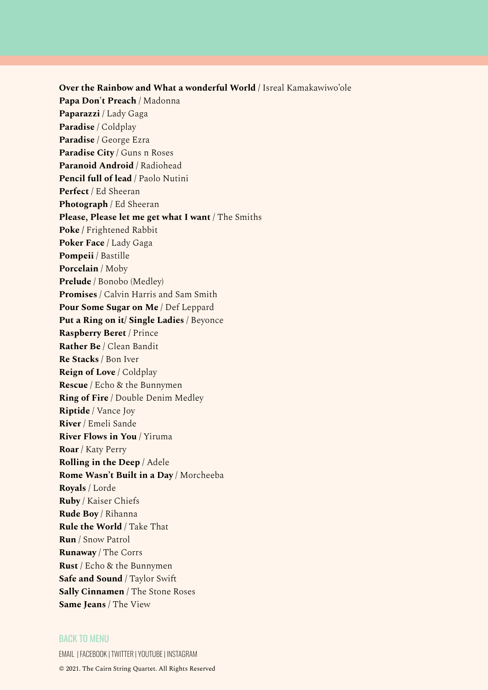**Over the Rainbow and What a wonderful World** / Isreal Kamakawiwo'ole **Papa Don't Preach** / Madonna **Paparazzi** / Lady Gaga **Paradise** / Coldplay **Paradise** / George Ezra **Paradise City** / Guns n Roses **Paranoid Android** / Radiohead **Pencil full of lead** / Paolo Nutini **Perfect** / Ed Sheeran **Photograph** / Ed Sheeran **Please, Please let me get what I want** / The Smiths **Poke /** Frightened Rabbit **Poker Face** / Lady Gaga **Pompeii** / Bastille **Porcelain** / Moby **Prelude** / Bonobo (Medley) **Promises** / Calvin Harris and Sam Smith **Pour Some Sugar on Me** / Def Leppard **Put a Ring on it/ Single Ladies** / Beyonce **Raspberry Beret** / Prince **Rather Be** / Clean Bandit **Re Stacks** / Bon Iver **Reign of Love** / Coldplay **Rescue** / Echo & the Bunnymen **Ring of Fire** / Double Denim Medley **Riptide** / Vance Joy **River** / Emeli Sande **River Flows in You** / Yiruma **Roar** / Katy Perry **Rolling in the Deep** / Adele **Rome Wasn't Built in a Day** / Morcheeba **Royals** / Lorde **Ruby** / Kaiser Chiefs **Rude Boy** / Rihanna **Rule the World** / Take That **Run** / Snow Patrol **Runaway** / The Corrs **Rust** / Echo & the Bunnymen **Safe and Sound** / Taylor Swift **Sally Cinnamen** / The Stone Roses **Same Jeans** / The View

### BACK TO [MENU](#page-0-0)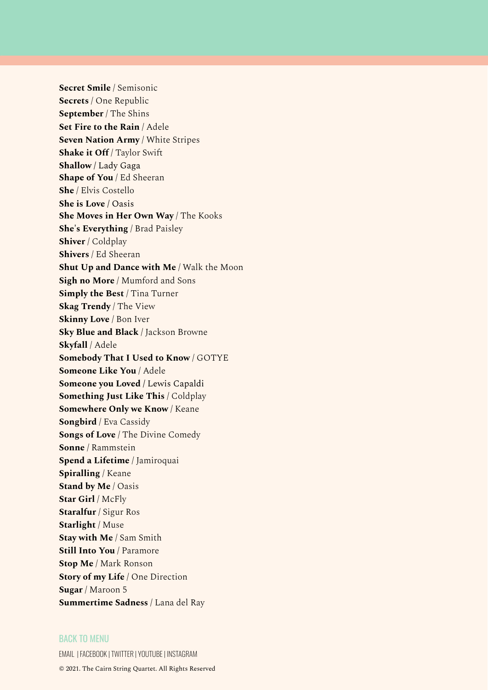**Secret Smile** / Semisonic **Secrets** / One Republic **September** / The Shins **Set Fire to the Rain** / Adele **Seven Nation Army** / White Stripes **Shake it Off** / Taylor Swift **Shallow** / Lady Gaga **Shape of You** / Ed Sheeran **She** / Elvis Costello **She is Love** / Oasis **She Moves in Her Own Way** / The Kooks **She's Everything** / Brad Paisley **Shiver** / Coldplay **Shivers** / Ed Sheeran **Shut Up and Dance with Me** / Walk the Moon **Sigh no More** / Mumford and Sons **Simply the Best** / Tina Turner **Skag Trendy** / The View **Skinny Love** / Bon Iver **Sky Blue and Black** / Jackson Browne **Skyfall** / Adele **Somebody That I Used to Know** / GOTYE **Someone Like You** / Adele **Someone you Loved** / Lewis Capaldi **Something Just Like This** / Coldplay **Somewhere Only we Know** / Keane **Songbird** / Eva Cassidy **Songs of Love** / The Divine Comedy **Sonne** / Rammstein **Spend a Lifetime** / Jamiroquai **Spiralling** / Keane **Stand by Me** / Oasis **Star Girl** / McFly **Staralfur** / Sigur Ros **Starlight** / Muse **Stay with Me** / Sam Smith **Still Into You** / Paramore **Stop Me** / Mark Ronson **Story of my Life** / One Direction **Sugar** / Maroon 5 **Summertime Sadness** / Lana del Ray

### BACK TO [MENU](#page-0-0)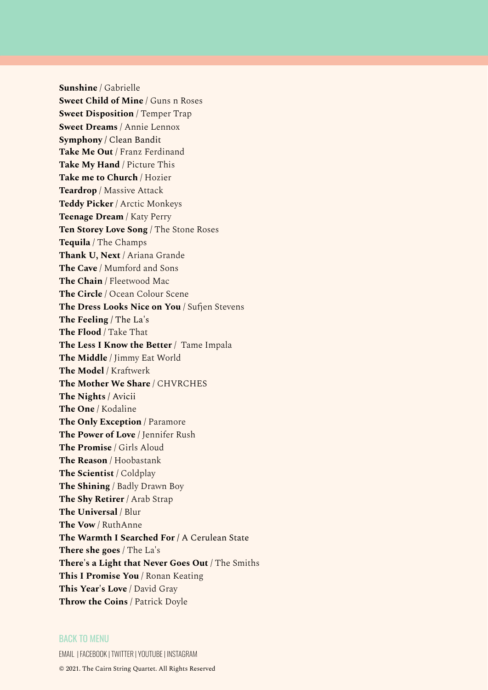**Sunshine** / Gabrielle **Sweet Child of Mine** / Guns n Roses **Sweet Disposition** / Temper Trap **Sweet Dreams** / Annie Lennox **Symphony** / Clean Bandit **Take Me Out** / Franz Ferdinand **Take My Hand** / Picture This **Take me to Church** / Hozier **Teardrop** / Massive Attack **Teddy Picker** / Arctic Monkeys **Teenage Dream** / Katy Perry **Ten Storey Love Song** / The Stone Roses **Tequila** / The Champs **Thank U, Next** / Ariana Grande **The Cave** / Mumford and Sons **The Chain** / Fleetwood Mac **The Circle** / Ocean Colour Scene **The Dress Looks Nice on You** / Sufjen Stevens **The Feeling** / The La's **The Flood** / Take That **The Less I Know the Better** / Tame Impala **The Middle** / Jimmy Eat World **The Model** / Kraftwerk **The Mother We Share** / CHVRCHES **The Nights** / Avicii **The One** / Kodaline **The Only Exception** / Paramore **The Power of Love** / Jennifer Rush **The Promise** / Girls Aloud **The Reason** / Hoobastank **The Scientist** / Coldplay **The Shining** / Badly Drawn Boy **The Shy Retirer** / Arab Strap **The Universal** / Blur **The Vow** / RuthAnne **The Warmth I Searched For** / A Cerulean State **There she goes** / The La's **There's a Light that Never Goes Out** / The Smiths **This I Promise You** / Ronan Keating **This Year's Love** / David Gray **Throw the Coins** / Patrick Doyle

### BACK TO [MENU](#page-0-0)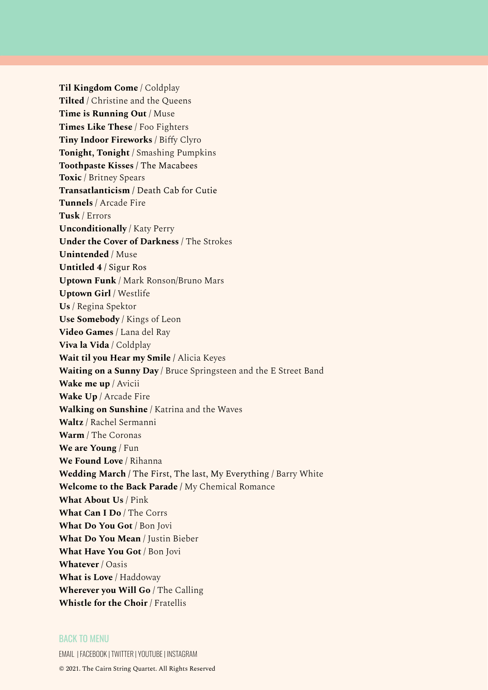**Til Kingdom Come** / Coldplay **Tilted** / Christine and the Queens **Time is Running Out** / Muse **Times Like These** / Foo Fighters **Tiny Indoor Fireworks** / Biffy Clyro **Tonight, Tonight** / Smashing Pumpkins **Toothpaste Kisses** / The Macabees **Toxic** / Britney Spears **Transatlanticism** / Death Cab for Cutie **Tunnels** / Arcade Fire **Tusk** / Errors **Unconditionally** / Katy Perry **Under the Cover of Darkness** / The Strokes **Unintended** / Muse **Untitled 4** / Sigur Ros **Uptown Funk** / Mark Ronson/Bruno Mars **Uptown Girl** / Westlife **Us** / Regina Spektor **Use Somebody** / Kings of Leon **Video Games** / Lana del Ray **Viva la Vida** / Coldplay **Wait til you Hear my Smile /** Alicia Keyes **Waiting on a Sunny Day** / Bruce Springsteen and the E Street Band **Wake me up** / Avicii **Wake Up** / Arcade Fire **Walking on Sunshine** / Katrina and the Waves **Waltz** / Rachel Sermanni **Warm** / The Coronas **We are Young** / Fun **We Found Love** / Rihanna **Wedding March** / The First, The last, My Everything / Barry White **Welcome to the Back Parade /** My Chemical Romance **What About Us** / Pink **What Can I Do** / The Corrs **What Do You Got** / Bon Jovi **What Do You Mean** / Justin Bieber **What Have You Got** / Bon Jovi **Whatever** / Oasis **What is Love** / Haddoway **Wherever you Will Go** / The Calling **Whistle for the Choir** / Fratellis

### BACK TO [MENU](#page-0-0)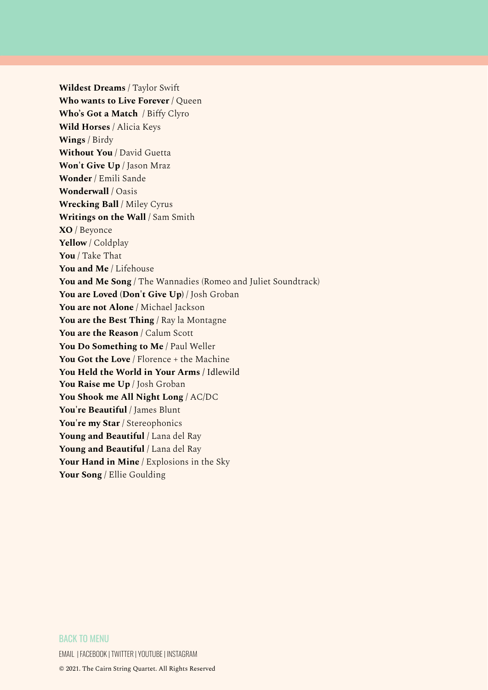**Wildest Dreams** / Taylor Swift **Who wants to Live Forever** / Queen **Who's Got a Match** / Biffy Clyro **Wild Horses** / Alicia Keys **Wings** / Birdy **Without You** / David Guetta **Won't Give Up** / Jason Mraz **Wonder** / Emili Sande **Wonderwall** / Oasis **Wrecking Ball** / Miley Cyrus **Writings on the Wall** / Sam Smith **XO** / Beyonce **Yellow** / Coldplay **You** / Take That **You and Me** / Lifehouse **You and Me Song** / The Wannadies (Romeo and Juliet Soundtrack) **You are Loved (Don't Give Up)** / Josh Groban **You are not Alone** / Michael Jackson **You are the Best Thing** / Ray la Montagne **You are the Reason** / Calum Scott **You Do Something to Me** / Paul Weller **You Got the Love** / Florence + the Machine **You Held the World in Your Arms** / Idlewild **You Raise me Up** / Josh Groban **You Shook me All Night Long** / AC/DC **You're Beautiful** / James Blunt **You're my Star** / Stereophonics **Young and Beautiful** / Lana del Ray **Young and Beautiful** / Lana del Ray **Your Hand in Mine** / Explosions in the Sky **Your Song** / Ellie Goulding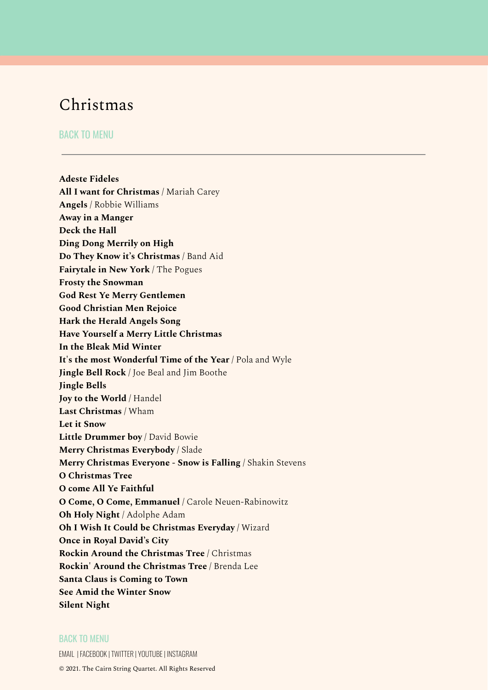# <span id="page-21-0"></span>Christmas

# BACK TO [MENU](#page-0-0)

**Adeste Fideles All I want for Christmas** / Mariah Carey **Angels** / Robbie Williams **Away in a Manger Deck the Hall Ding Dong Merrily on High Do They Know it's Christmas** / Band Aid **Fairytale in New York** / The Pogues **Frosty the Snowman God Rest Ye Merry Gentlemen Good Christian Men Rejoice Hark the Herald Angels Song Have Yourself a Merry Little Christmas In the Bleak Mid Winter It's the most Wonderful Time of the Year** / Pola and Wyle **Jingle Bell Rock** / Joe Beal and Jim Boothe **Jingle Bells Joy to the World** / Handel **Last Christmas** / Wham **Let it Snow Little Drummer boy** / David Bowie **Merry Christmas Everybody** / Slade **Merry Christmas Everyone - Snow is Falling** / Shakin Stevens **O Christmas Tree O come All Ye Faithful O Come, O Come, Emmanuel** / Carole Neuen-Rabinowitz **Oh Holy Night** / Adolphe Adam **Oh I Wish It Could be Christmas Everyday** / Wizard **Once in Royal David's City Rockin Around the Christmas Tree** / Christmas **Rockin' Around the Christmas Tree** / Brenda Lee **Santa Claus is Coming to Town See Amid the Winter Snow Silent Night**

# BACK TO [MENU](#page-0-0)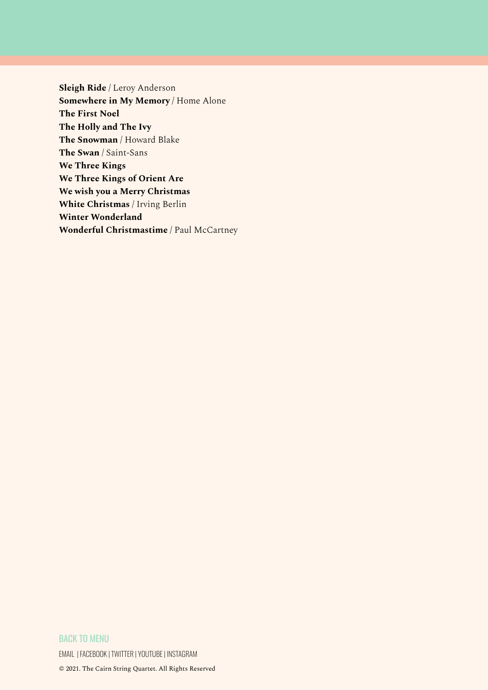**Sleigh Ride** / Leroy Anderson **Somewhere in My Memory** / Home Alone **The First Noel The Holly and The Ivy The Snowman** / Howard Blake **The Swan** / Saint-Sans **We Three Kings We Three Kings of Orient Are We wish you a Merry Christmas White Christmas** / Irving Berlin **Winter Wonderland Wonderful Christmastime** / Paul McCartney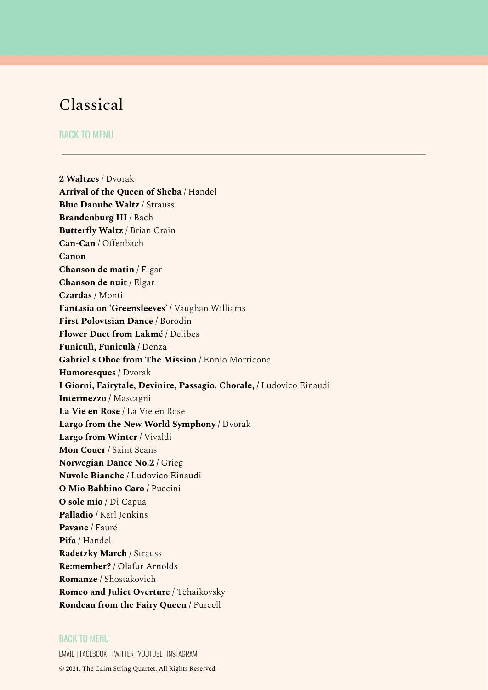# <span id="page-23-0"></span>Classical

# BACK TO [MENU](#page-0-0)

**2 Waltzes** / Dvorak **Arrival of the Queen of Sheba** / Handel **Blue Danube Waltz** / Strauss **Brandenburg III** / Bach **Butterfly Waltz** / Brian Crain **Can-Can** / Offenbach **Canon Chanson de matin /** Elgar **Chanson de nuit /** Elgar **Czardas /** Monti **Fantasia on 'Greensleeves' /** Vaughan Williams **First Polovtsian Dance /** Borodin **Flower Duet from Lakmé /** Delibes **Funiculì, Funiculà /** Denza **Gabriel's Oboe from The Mission /** Ennio Morricone **Humoresques /** Dvorak **I Giorni, Fairytale, Devinire, Passagio, Chorale, /** Ludovico Einaudi **Intermezzo /** Mascagni **La Vie en Rose /** La Vie en Rose **Largo from the New World Symphony /** Dvorak **Largo from Winter /** Vivaldi **Mon Couer** / Saint Seans **Norwegian Dance No.2 /** Grieg **Nuvole Bianche** / Ludovico Einaudi **O Mio Babbino Caro /** Puccini **O sole mio /** Di Capua **Palladio /** Karl Jenkins **Pavane /** Fauré **Pifa** / Handel **Radetzky March /** Strauss **Re:member? /** Olafur Arnolds **Romanze /** Shostakovich **Romeo and Juliet Overture /** Tchaikovsky **Rondeau from the Fairy Queen /** Purcell

#### BACK TO [MENU](#page-0-0)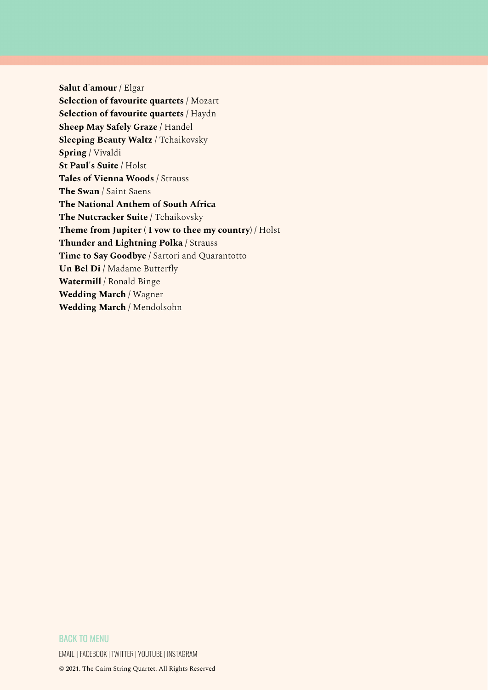**Salut d'amour /** Elgar **Selection of favourite quartets /** Mozart **Selection of favourite quartets /** Haydn **Sheep May Safely Graze /** Handel **Sleeping Beauty Waltz** / Tchaikovsky **Spring /** Vivaldi **St Paul's Suite /** Holst **Tales of Vienna Woods /** Strauss **The Swan** / Saint Saens **The National Anthem of South Africa The Nutcracker Suite /** Tchaikovsky **Theme from Jupiter ( I vow to thee my country) /** Holst **Thunder and Lightning Polka /** Strauss **Time to Say Goodbye /** Sartori and Quarantotto **Un Bel Di /** Madame Butterfly **Watermill** / Ronald Binge **Wedding March /** Wagner **Wedding March /** Mendolsohn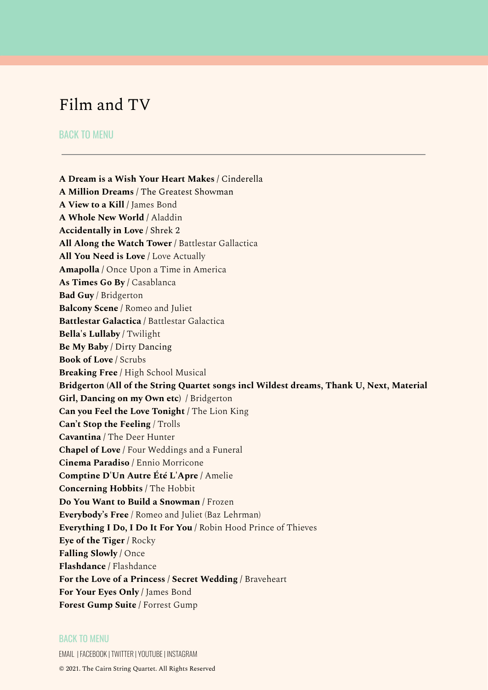# <span id="page-25-0"></span>Film and TV

# BACK TO [MENU](#page-0-0)

**A Dream is a Wish Your Heart Makes** / Cinderella **A Million Dreams** / The Greatest Showman **A View to a Kill /** James Bond **A Whole New World /** Aladdin **Accidentally in Love** / Shrek 2 **All Along the Watch Tower /** Battlestar Gallactica **All You Need is Love /** Love Actually **Amapolla /** Once Upon a Time in America **As Times Go By /** Casablanca **Bad Guy** / Bridgerton **Balcony Scene /** Romeo and Juliet **Battlestar Galactica /** Battlestar Galactica **Bella's Lullaby /** Twilight **Be My Baby** / Dirty Dancing **Book of Love /** Scrubs **Breaking Free /** High School Musical **Bridgerton (All of the String Quartet songs incl Wildest dreams, Thank U, Next, Material Girl, Dancing on my Own etc) /** Bridgerton **Can you Feel the Love Tonight /** The Lion King **Can't Stop the Feeling** / Trolls **Cavantina /** The Deer Hunter **Chapel of Love /** Four Weddings and a Funeral **Cinema Paradiso /** Ennio Morricone **Comptine D'Un Autre Été L'Apre /** Amelie **Concerning Hobbits /** The Hobbit **Do You Want to Build a Snowman /** Frozen **Everybody's Free** / Romeo and Juliet (Baz Lehrman) **Everything I Do, I Do It For You /** Robin Hood Prince of Thieves **Eye of the Tiger /** Rocky **Falling Slowly /** Once **Flashdance /** Flashdance **For the Love of a Princess / Secret Wedding /** Braveheart **For Your Eyes Only /** James Bond **Forest Gump Suite /** Forrest Gump

### BACK TO [MENU](#page-0-0)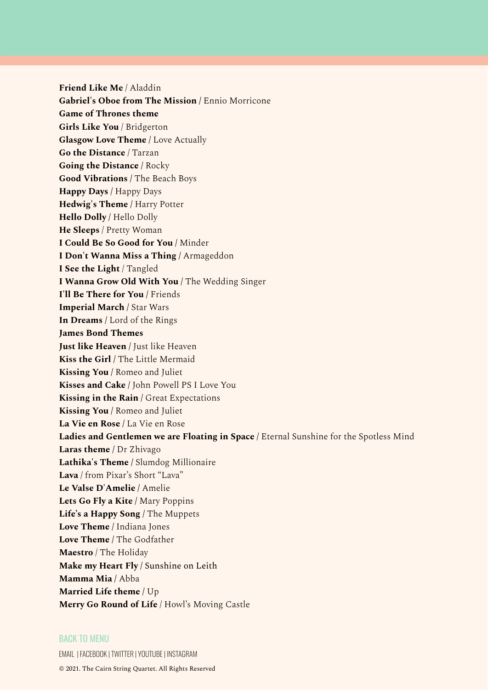**Friend Like Me** / Aladdin **Gabriel's Oboe from The Mission /** Ennio Morricone **Game of Thrones theme Girls Like You** / Bridgerton **Glasgow Love Theme /** Love Actually **Go the Distance** / Tarzan **Going the Distance /** Rocky **Good Vibrations /** The Beach Boys **Happy Days /** Happy Days **Hedwig's Theme /** Harry Potter **Hello Dolly /** Hello Dolly **He Sleeps** / Pretty Woman **I Could Be So Good for You /** Minder **I Don't Wanna Miss a Thing /** Armageddon **I See the Light** / Tangled **I Wanna Grow Old With You /** The Wedding Singer **I'll Be There for You /** Friends **Imperial March /** Star Wars **In Dreams /** Lord of the Rings **James Bond Themes Just like Heaven /** Just like Heaven **Kiss the Girl /** The Little Mermaid **Kissing You /** Romeo and Juliet **Kisses and Cake /** John Powell PS I Love You **Kissing in the Rain /** Great Expectations **Kissing You /** Romeo and Juliet **La Vie en Rose /** La Vie en Rose **Ladies and Gentlemen we are Floating in Space /** Eternal Sunshine for the Spotless Mind **Laras theme /** Dr Zhivago **Lathika's Theme /** Slumdog Millionaire **Lava** / from Pixar's Short "Lava" **Le Valse D'Amelie /** Amelie **Lets Go Fly a Kite /** Mary Poppins **Life's a Happy Song /** The Muppets **Love Theme /** Indiana Jones **Love Theme /** The Godfather **Maestro** / The Holiday **Make my Heart Fly** / Sunshine on Leith **Mamma Mia /** Abba **Married Life theme /** Up **Merry Go Round of Life** / Howl's Moving Castle

### BACK TO [MENU](#page-0-0)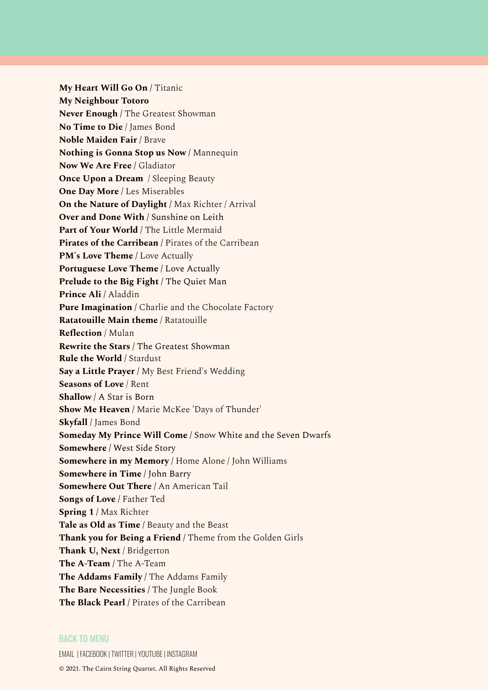**My Heart Will Go On /** Titanic **My Neighbour Totoro Never Enough /** The Greatest Showman **No Time to Die** / James Bond **Noble Maiden Fair /** Brave **Nothing is Gonna Stop us Now /** Mannequin **Now We Are Free /** Gladiator **Once Upon a Dream** / Sleeping Beauty **One Day More /** Les Miserables **On the Nature of Daylight /** Max Richter / Arrival **Over and Done With** / Sunshine on Leith **Part of Your World /** The Little Mermaid **Pirates of the Carribean /** Pirates of the Carribean **PM's Love Theme /** Love Actually **Portuguese Love Theme /** Love Actually **Prelude to the Big Fight** / The Quiet Man **Prince Ali /** Aladdin **Pure Imagination /** Charlie and the Chocolate Factory **Ratatouille Main theme** / Ratatouille **Reflection** / Mulan **Rewrite the Stars** / The Greatest Showman **Rule the World /** Stardust **Say a Little Prayer /** My Best Friend's Wedding **Seasons of Love** / Rent **Shallow** / A Star is Born **Show Me Heaven /** Marie McKee 'Days of Thunder' **Skyfall /** James Bond **Someday My Prince Will Come** / Snow White and the Seven Dwarfs **Somewhere** / West Side Story **Somewhere in my Memory /** Home Alone / John Williams **Somewhere in Time** / John Barry **Somewhere Out There /** An American Tail **Songs of Love /** Father Ted **Spring 1 /** Max Richter **Tale as Old as Time /** Beauty and the Beast **Thank you for Being a Friend /** Theme from the Golden Girls **Thank U, Next** / Bridgerton **The A-Team /** The A-Team **The Addams Family /** The Addams Family **The Bare Necessities /** The Jungle Book **The Black Pearl /** Pirates of the Carribean

### BACK TO [MENU](#page-0-0)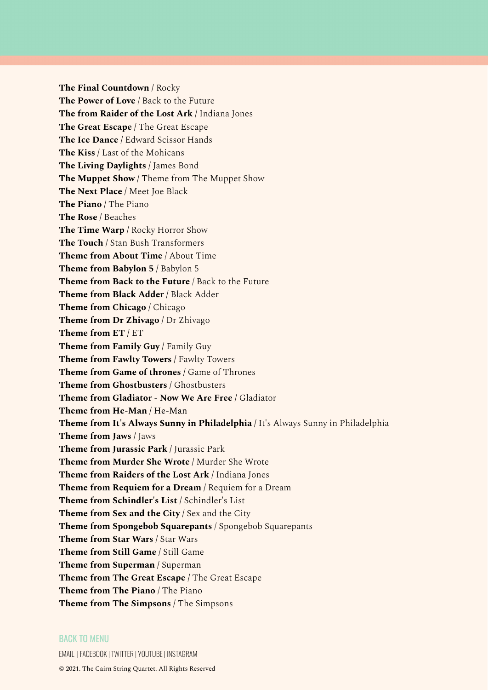**The Final Countdown /** Rocky **The Power of Love** / Back to the Future **The from Raider of the Lost Ark /** Indiana Jones **The Great Escape /** The Great Escape **The Ice Dance /** Edward Scissor Hands **The Kiss /** Last of the Mohicans **The Living Daylights /** James Bond **The Muppet Show /** Theme from The Muppet Show **The Next Place /** Meet Joe Black **The Piano /** The Piano **The Rose /** Beaches **The Time Warp /** Rocky Horror Show **The Touch /** Stan Bush Transformers **Theme from About Time** / About Time **Theme from Babylon 5 /** Babylon 5 **Theme from Back to the Future** / Back to the Future **Theme from Black Adder /** Black Adder **Theme from Chicago /** Chicago **Theme from Dr Zhivago /** Dr Zhivago **Theme from ET /** ET **Theme from Family Guy /** Family Guy **Theme from Fawlty Towers /** Fawlty Towers **Theme from Game of thrones /** Game of Thrones **Theme from Ghostbusters /** Ghostbusters **Theme from Gladiator - Now We Are Free /** Gladiator **Theme from He-Man /** He-Man **Theme from It's Always Sunny in Philadelphia /** It's Always Sunny in Philadelphia **Theme from Jaws /** Jaws **Theme from Jurassic Park /** Jurassic Park **Theme from Murder She Wrote /** Murder She Wrote **Theme from Raiders of the Lost Ark /** Indiana Jones **Theme from Requiem for a Dream /** Requiem for a Dream **Theme from Schindler's List /** Schindler's List **Theme from Sex and the City /** Sex and the City **Theme from Spongebob Squarepants** / Spongebob Squarepants **Theme from Star Wars /** Star Wars **Theme from Still Game /** Still Game **Theme from Superman /** Superman **Theme from The Great Escape /** The Great Escape **Theme from The Piano** / The Piano **Theme from The Simpsons /** The Simpsons

### BACK TO [MENU](#page-0-0)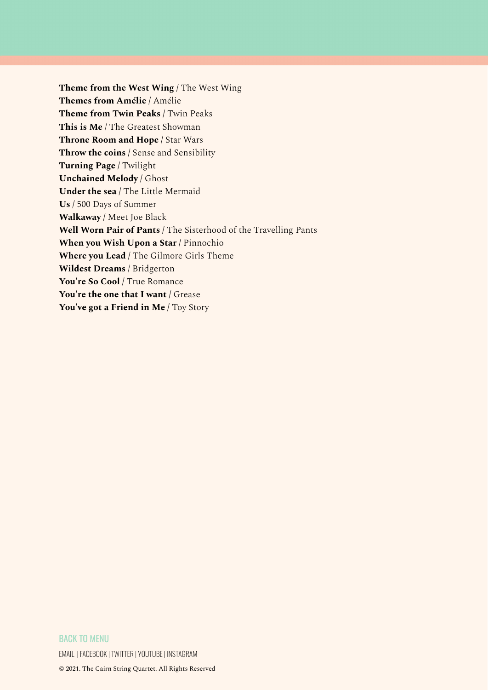**Theme from the West Wing /** The West Wing **Themes from Amélie /** Amélie **Theme from Twin Peaks /** Twin Peaks **This is Me** / The Greatest Showman **Throne Room and Hope /** Star Wars **Throw the coins /** Sense and Sensibility **Turning Page /** Twilight **Unchained Melody /** Ghost **Under the sea /** The Little Mermaid **Us /** 500 Days of Summer **Walkaway /** Meet Joe Black **Well Worn Pair of Pants /** The Sisterhood of the Travelling Pants **When you Wish Upon a Star /** Pinnochio **Where you Lead /** The Gilmore Girls Theme **Wildest Dreams** / Bridgerton **You're So Cool /** True Romance **You're the one that I want /** Grease **You've got a Friend in Me /** Toy Story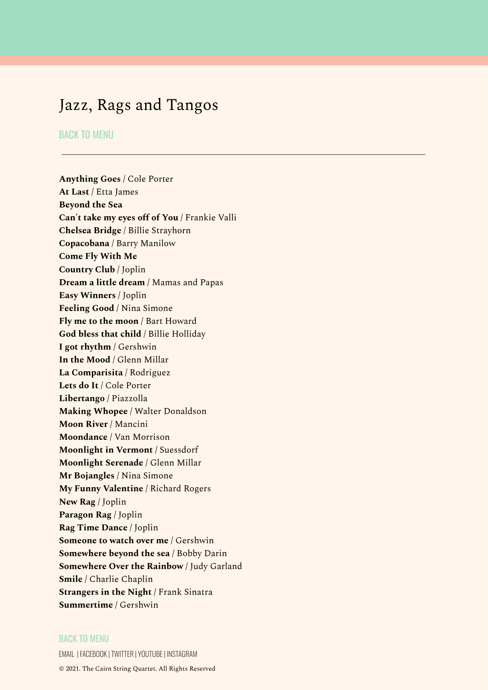# <span id="page-30-0"></span>Jazz, Rags and Tangos

# BACK TO [MENU](#page-0-0)

**Anything Goes /** Cole Porter **At Last /** Etta James **Beyond the Sea Can't take my eyes off of You /** Frankie Valli **Chelsea Bridge /** Billie Strayhorn **Copacobana /** Barry Manilow **Come Fly With Me Country Club /** Joplin **Dream a little dream /** Mamas and Papas **Easy Winners /** Joplin **Feeling Good /** Nina Simone **Fly me to the moon /** Bart Howard **God bless that child /** Billie Holliday **I got rhythm /** Gershwin **In the Mood /** Glenn Millar **La Comparisita /** Rodriguez **Lets do It /** Cole Porter **Libertango /** Piazzolla **Making Whopee /** Walter Donaldson **Moon River /** Mancini **Moondance /** Van Morrison **Moonlight in Vermont /** Suessdorf **Moonlight Serenade /** Glenn Millar **Mr Bojangles /** Nina Simone **My Funny Valentine /** Richard Rogers **New Rag /** Joplin **Paragon Rag /** Joplin **Rag Time Dance /** Joplin **Someone to watch over me /** Gershwin **Somewhere beyond the sea /** Bobby Darin **Somewhere Over the Rainbow /** Judy Garland **Smile /** Charlie Chaplin **Strangers in the Night /** Frank Sinatra **Summertime /** Gershwin

#### BACK TO [MENU](#page-0-0)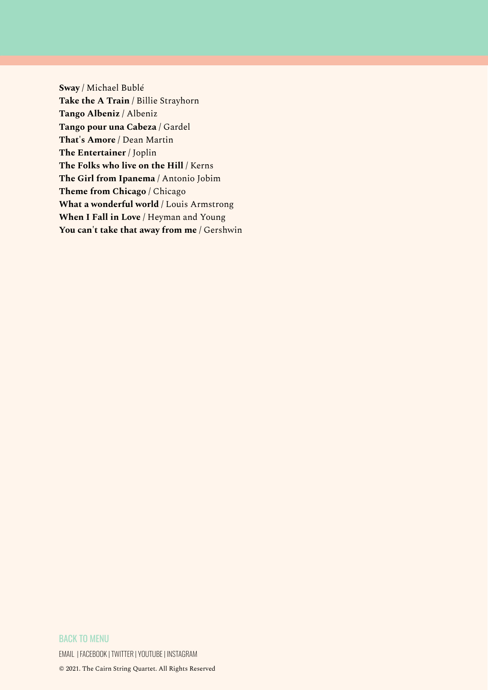**Sway /** Michael Bublé **Take the A Train /** Billie Strayhorn **Tango Albeniz /** Albeniz **Tango pour una Cabeza /** Gardel **That's Amore /** Dean Martin **The Entertainer /** Joplin **The Folks who live on the Hill /** Kerns **The Girl from Ipanema /** Antonio Jobim **Theme from Chicago /** Chicago **What a wonderful world /** Louis Armstrong **When I Fall in Love /** Heyman and Young **You can't take that away from me /** Gershwin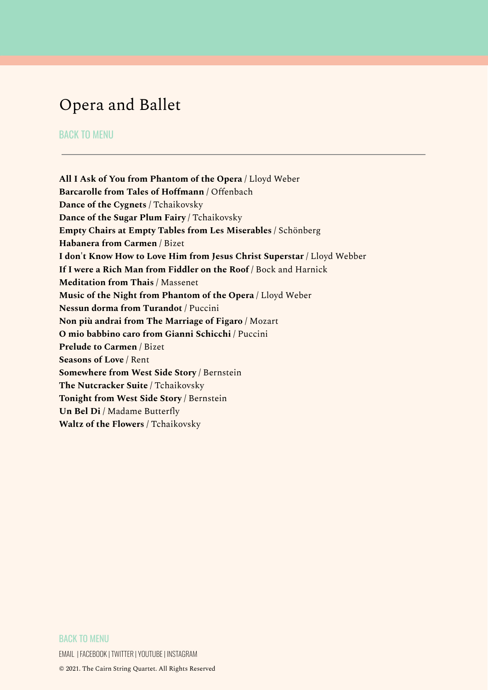# <span id="page-32-0"></span>Opera and Ballet

# BACK TO [MENU](#page-0-0)

**All I Ask of You from Phantom of the Opera /** Lloyd Weber **Barcarolle from Tales of Hoffmann /** Offenbach **Dance of the Cygnets /** Tchaikovsky **Dance of the Sugar Plum Fairy /** Tchaikovsky **Empty Chairs at Empty Tables from Les Miserables /** Schönberg **Habanera from Carmen /** Bizet **I don't Know How to Love Him from Jesus Christ Superstar /** Lloyd Webber **If I were a Rich Man from Fiddler on the Roof /** Bock and Harnick **Meditation from Thais /** Massenet **Music of the Night from Phantom of the Opera /** Lloyd Weber **Nessun dorma from Turandot /** Puccini **Non più andrai from The Marriage of Figaro /** Mozart **O mio babbino caro from Gianni Schicchi /** Puccini **Prelude to Carmen /** Bizet **Seasons of Love** / Rent **Somewhere from West Side Story /** Bernstein **The Nutcracker Suite /** Tchaikovsky **Tonight from West Side Story /** Bernstein **Un Bel Di /** Madame Butterfly **Waltz of the Flowers /** Tchaikovsky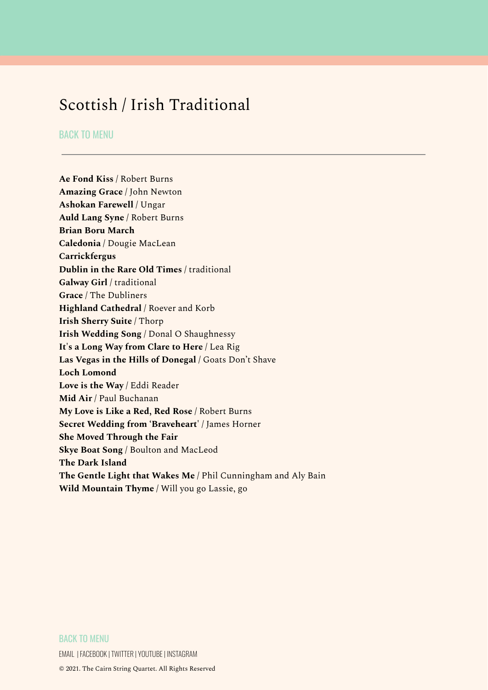# <span id="page-33-0"></span>Scottish / Irish Traditional

# BACK TO [MENU](#page-0-0)

**Ae Fond Kiss /** Robert Burns **Amazing Grace /** John Newton **Ashokan Farewell /** Ungar **Auld Lang Syne /** Robert Burns **Brian Boru March Caledonia /** Dougie MacLean **Carrickfergus Dublin in the Rare Old Times /** traditional **Galway Girl /** traditional **Grace /** The Dubliners **Highland Cathedral /** Roever and Korb **Irish Sherry Suite /** Thorp **Irish Wedding Song** / Donal O Shaughnessy **It's a Long Way from Clare to Here /** Lea Rig **Las Vegas in the Hills of Donegal** / Goats Don't Shave **Loch Lomond Love is the Way /** Eddi Reader **Mid Air /** Paul Buchanan **My Love is Like a Red, Red Rose /** Robert Burns **Secret Wedding from 'Braveheart' /** James Horner **She Moved Through the Fair Skye Boat Song /** Boulton and MacLeod **The Dark Island The Gentle Light that Wakes Me /** Phil Cunningham and Aly Bain **Wild Mountain Thyme /** Will you go Lassie, go